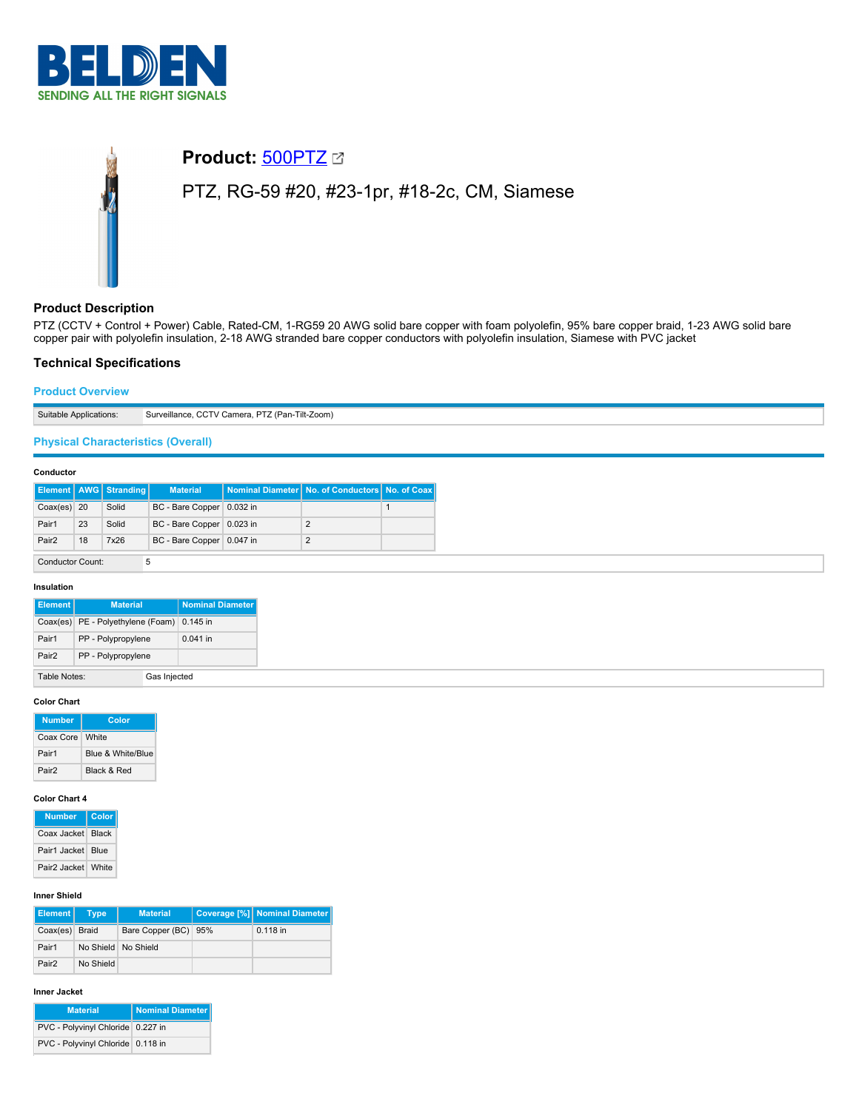

# **Product:** [500PTZ](https://catalog.belden.com/index.cfm?event=pd&p=PF_500PTZ&tab=downloads) PTZ, RG-59 #20, #23-1pr, #18-2c, CM, Siamese

# **Product Description**

PTZ (CCTV + Control + Power) Cable, Rated-CM, 1-RG59 20 AWG solid bare copper with foam polyolefin, 95% bare copper braid, 1-23 AWG solid bare copper pair with polyolefin insulation, 2-18 AWG stranded bare copper conductors with polyolefin insulation, Siamese with PVC jacket

# **Technical Specifications**

## **Product Overview**

Suitable Applications: Surveillance, CCTV Camera, PTZ (Pan-Tilt-Zoom)

# **Physical Characteristics (Overall)**

#### **Conductor**

|                         |    | <b>Element   AWG   Stranding  </b> | <b>Material</b>           |          | Nominal Diameter   No. of Conductors   No. of Coax |  |
|-------------------------|----|------------------------------------|---------------------------|----------|----------------------------------------------------|--|
| $Coax(es)$ 20           |    | Solid                              | BC - Bare Copper          | 0.032 in |                                                    |  |
| Pair1                   | 23 | Solid                              | BC - Bare Copper 0.023 in |          | 2                                                  |  |
| Pair <sub>2</sub>       | 18 | 7x26                               | BC - Bare Copper 0.047 in |          | 2                                                  |  |
| <b>Conductor Count:</b> |    |                                    |                           |          |                                                    |  |

#### **Insulation**

| Element I         | <b>Material</b>                            | Nominal Diameter |
|-------------------|--------------------------------------------|------------------|
|                   | Coax(es) PE - Polyethylene (Foam) 0.145 in |                  |
| Pair1             | PP - Polypropylene                         | 0.041 in         |
| Pair <sub>2</sub> | PP - Polypropylene                         |                  |
| Table Notes:      |                                            | Gas Injected     |

#### **Color Chart**

| <b>Number</b>     | Color             |
|-------------------|-------------------|
| Coax Core   White |                   |
| Pair1             | Blue & White/Blue |
| Pair <sub>2</sub> | Black & Red       |

#### **Color Chart 4**

| <b>Number</b>                  | Color |
|--------------------------------|-------|
| Coax Jacket Black              |       |
| Pair1 Jacket Blue              |       |
| Pair <sub>2</sub> Jacket White |       |

#### **Inner Shield**

| <b>Element</b>    | <b>Type</b> | <b>Material</b>      | Coverage [%] Nominal Diameter |
|-------------------|-------------|----------------------|-------------------------------|
| Coax(es) Braid    |             | Bare Copper (BC) 95% | $0.118$ in                    |
| Pair1             |             | No Shield No Shield  |                               |
| Pair <sub>2</sub> | No Shield   |                      |                               |

#### **Inner Jacket**

| <b>Material</b>                   | Nominal Diameter |
|-----------------------------------|------------------|
| PVC - Polyvinyl Chloride 0.227 in |                  |
| PVC - Polyvinyl Chloride 0.118 in |                  |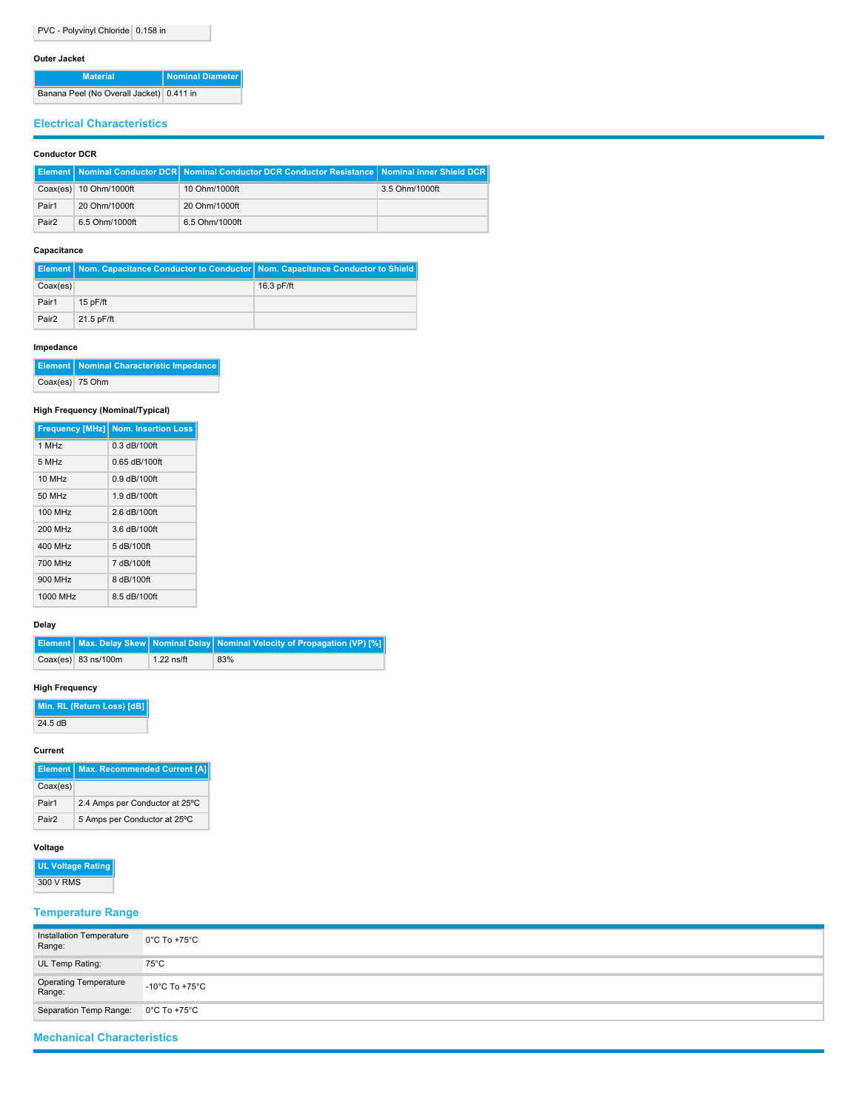#### **Outer Jacket**

| <b>Material</b>                          | Nominal Diameter |
|------------------------------------------|------------------|
| Banana Peel (No Overall Jacket) 0.411 in |                  |

# **Electrical Characteristics**

## **Conductor DCR**

|                   |                          | Element   Nominal Conductor DCR   Nominal Conductor DCR Conductor Resistance   Nominal Inner Shield DCR |                |
|-------------------|--------------------------|---------------------------------------------------------------------------------------------------------|----------------|
|                   | Coax(es)   10 Ohm/1000ft | 10 Ohm/1000ft                                                                                           | 3.5 Ohm/1000ft |
| Pair1             | 20 Ohm/1000ft            | 20 Ohm/1000ft                                                                                           |                |
| Pair <sub>2</sub> | 6.5 Ohm/1000ft           | 6.5 Ohm/1000ft                                                                                          |                |

#### **Capacitance**

|                   | <b>Element   Nom. Capacitance Conductor to Conductor   Nom. Capacitance Conductor to Shield  </b> |              |
|-------------------|---------------------------------------------------------------------------------------------------|--------------|
| Coax(es)          |                                                                                                   | $16.3$ pF/ft |
| Pair1             | $15p$ F/ft                                                                                        |              |
| Pair <sub>2</sub> | 21.5 pF/ft                                                                                        |              |

## **Impedance**

|                 | <b>Element   Nominal Characteristic Impedance</b> |
|-----------------|---------------------------------------------------|
| Coax(es) 75 Ohm |                                                   |

## **High Frequency (Nominal/Typical)**

|          | <b>Frequency [MHz] Nom. Insertion Loss</b> |
|----------|--------------------------------------------|
| 1 MHz    | $0.3$ dB/100ft                             |
| 5 MHz    | 0.65 dB/100ft                              |
| 10 MHz   | $0.9$ dB/100ft                             |
| 50 MHz   | 1.9 dB/100ft                               |
| 100 MHz  | 2.6 dB/100ft                               |
| 200 MHz  | 3.6 dB/100ft                               |
| 400 MHz  | 5 dB/100ft                                 |
| 700 MHz  | 7 dB/100ft                                 |
| 900 MHz  | 8 dB/100ft                                 |
| 1000 MHz | 8.5 dB/100ft                               |

## **Delay**

|                       |              | <b>Element   Max. Delay Skew   Nominal Delay   Nominal Velocity of Propagation (VP) [%]  </b> |
|-----------------------|--------------|-----------------------------------------------------------------------------------------------|
| $Coax(es)$ 83 ns/100m | $1.22$ ns/ft | 83%                                                                                           |

## **High Frequency**

**Min. RL (Return Loss) [dB]**

 $\sqrt{24.5 \text{ dB}}$ 

#### **Current**

|                   | <b>Element   Max. Recommended Current [A]</b> |
|-------------------|-----------------------------------------------|
| Coax(es)          |                                               |
| Pair1             | 2.4 Amps per Conductor at 25°C                |
| Pair <sub>2</sub> | 5 Amps per Conductor at 25°C                  |

# **Voltage**

**UL Voltage Rating** 300 V RMS

# **Temperature Range**

| Installation Temperature<br>Range: | $0^{\circ}$ C To +75 $^{\circ}$ C   |
|------------------------------------|-------------------------------------|
| UL Temp Rating:                    | 75°C                                |
| Operating Temperature<br>Range:    | $-10^{\circ}$ C To +75 $^{\circ}$ C |
| Separation Temp Range:             | $0^{\circ}$ C To +75 $^{\circ}$ C   |

# **Mechanical Characteristics**